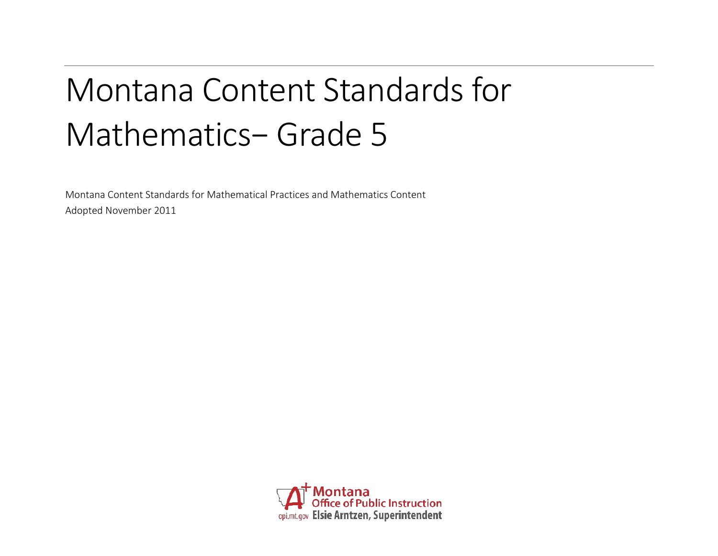# Montana Content Standards for Mathematics− Grade 5

Montana Content Standards for Mathematical Practices and Mathematics Content Adopted November 2011

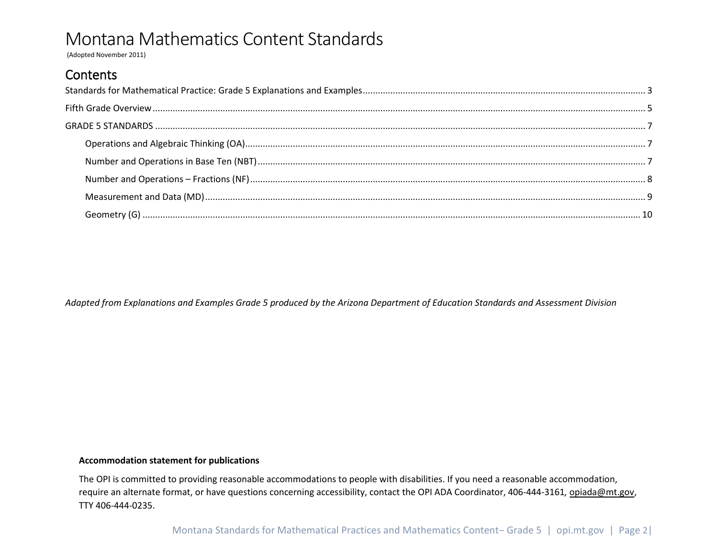(Adopted November 2011)

## **Contents**

*Adapted from Explanations and Examples Grade 5 produced by the Arizona Department of Education Standards and Assessment Division*

#### **Accommodation statement for publications**

The OPI is committed to providing reasonable accommodations to people with disabilities. If you need a reasonable accommodation, require an alternate format, or have questions concerning accessibility, contact the OPI ADA Coordinator, 406-444-3161*,* [opiada@mt.gov,](mailto:opiada@mt.gov) TTY 406-444-0235.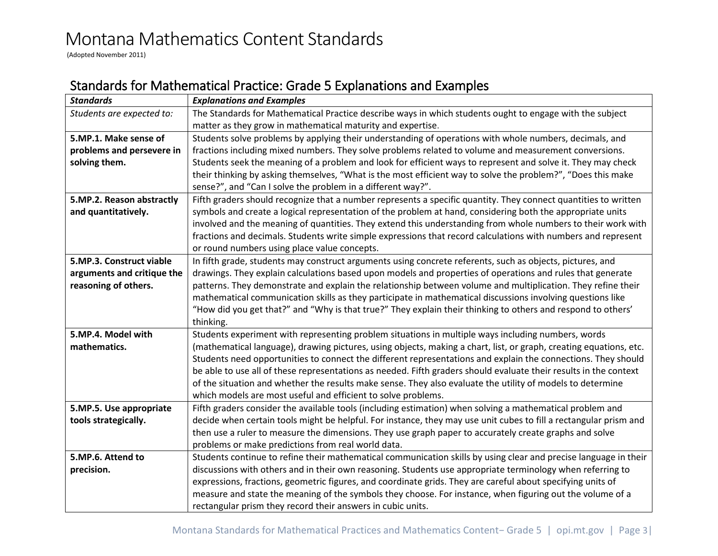(Adopted November 2011)

## <span id="page-2-0"></span>Standards for Mathematical Practice: Grade 5 Explanations and Examples

| <b>Standards</b>           | <b>Explanations and Examples</b>                                                                                   |  |  |  |  |  |
|----------------------------|--------------------------------------------------------------------------------------------------------------------|--|--|--|--|--|
| Students are expected to:  | The Standards for Mathematical Practice describe ways in which students ought to engage with the subject           |  |  |  |  |  |
|                            | matter as they grow in mathematical maturity and expertise.                                                        |  |  |  |  |  |
| 5.MP.1. Make sense of      | Students solve problems by applying their understanding of operations with whole numbers, decimals, and            |  |  |  |  |  |
| problems and persevere in  | fractions including mixed numbers. They solve problems related to volume and measurement conversions.              |  |  |  |  |  |
| solving them.              | Students seek the meaning of a problem and look for efficient ways to represent and solve it. They may check       |  |  |  |  |  |
|                            | their thinking by asking themselves, "What is the most efficient way to solve the problem?", "Does this make       |  |  |  |  |  |
|                            | sense?", and "Can I solve the problem in a different way?".                                                        |  |  |  |  |  |
| 5.MP.2. Reason abstractly  | Fifth graders should recognize that a number represents a specific quantity. They connect quantities to written    |  |  |  |  |  |
| and quantitatively.        | symbols and create a logical representation of the problem at hand, considering both the appropriate units         |  |  |  |  |  |
|                            | involved and the meaning of quantities. They extend this understanding from whole numbers to their work with       |  |  |  |  |  |
|                            | fractions and decimals. Students write simple expressions that record calculations with numbers and represent      |  |  |  |  |  |
|                            | or round numbers using place value concepts.                                                                       |  |  |  |  |  |
| 5.MP.3. Construct viable   | In fifth grade, students may construct arguments using concrete referents, such as objects, pictures, and          |  |  |  |  |  |
| arguments and critique the | drawings. They explain calculations based upon models and properties of operations and rules that generate         |  |  |  |  |  |
| reasoning of others.       | patterns. They demonstrate and explain the relationship between volume and multiplication. They refine their       |  |  |  |  |  |
|                            | mathematical communication skills as they participate in mathematical discussions involving questions like         |  |  |  |  |  |
|                            | "How did you get that?" and "Why is that true?" They explain their thinking to others and respond to others'       |  |  |  |  |  |
|                            | thinking.                                                                                                          |  |  |  |  |  |
| 5.MP.4. Model with         | Students experiment with representing problem situations in multiple ways including numbers, words                 |  |  |  |  |  |
| mathematics.               | (mathematical language), drawing pictures, using objects, making a chart, list, or graph, creating equations, etc. |  |  |  |  |  |
|                            | Students need opportunities to connect the different representations and explain the connections. They should      |  |  |  |  |  |
|                            | be able to use all of these representations as needed. Fifth graders should evaluate their results in the context  |  |  |  |  |  |
|                            | of the situation and whether the results make sense. They also evaluate the utility of models to determine         |  |  |  |  |  |
|                            | which models are most useful and efficient to solve problems.                                                      |  |  |  |  |  |
| 5.MP.5. Use appropriate    | Fifth graders consider the available tools (including estimation) when solving a mathematical problem and          |  |  |  |  |  |
| tools strategically.       | decide when certain tools might be helpful. For instance, they may use unit cubes to fill a rectangular prism and  |  |  |  |  |  |
|                            | then use a ruler to measure the dimensions. They use graph paper to accurately create graphs and solve             |  |  |  |  |  |
|                            | problems or make predictions from real world data.                                                                 |  |  |  |  |  |
| 5.MP.6. Attend to          | Students continue to refine their mathematical communication skills by using clear and precise language in their   |  |  |  |  |  |
| precision.                 | discussions with others and in their own reasoning. Students use appropriate terminology when referring to         |  |  |  |  |  |
|                            | expressions, fractions, geometric figures, and coordinate grids. They are careful about specifying units of        |  |  |  |  |  |
|                            | measure and state the meaning of the symbols they choose. For instance, when figuring out the volume of a          |  |  |  |  |  |
|                            | rectangular prism they record their answers in cubic units.                                                        |  |  |  |  |  |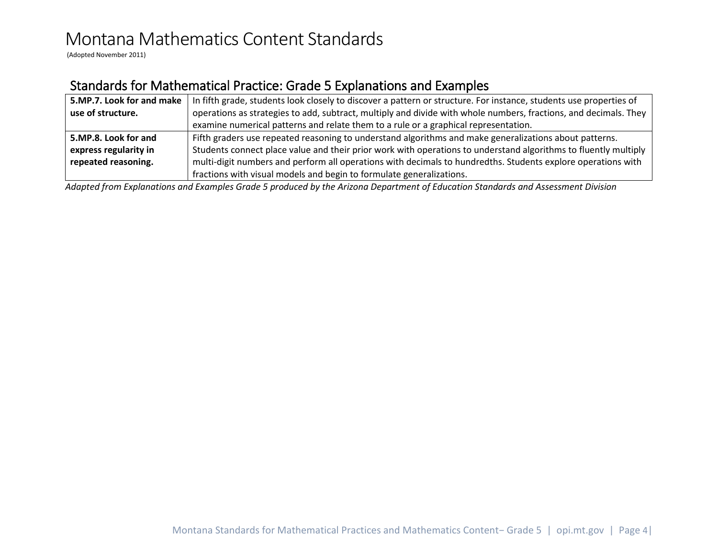(Adopted November 2011)

## Standards for Mathematical Practice: Grade 5 Explanations and Examples

| 5.MP.7. Look for and make | In fifth grade, students look closely to discover a pattern or structure. For instance, students use properties of |  |  |  |  |
|---------------------------|--------------------------------------------------------------------------------------------------------------------|--|--|--|--|
| use of structure.         | operations as strategies to add, subtract, multiply and divide with whole numbers, fractions, and decimals. They   |  |  |  |  |
|                           | examine numerical patterns and relate them to a rule or a graphical representation.                                |  |  |  |  |
| 5.MP.8. Look for and      | Fifth graders use repeated reasoning to understand algorithms and make generalizations about patterns.             |  |  |  |  |
| express regularity in     | Students connect place value and their prior work with operations to understand algorithms to fluently multiply    |  |  |  |  |
| repeated reasoning.       | multi-digit numbers and perform all operations with decimals to hundredths. Students explore operations with       |  |  |  |  |
|                           | fractions with visual models and begin to formulate generalizations.                                               |  |  |  |  |

*Adapted from Explanations and Examples Grade 5 produced by the Arizona Department of Education Standards and Assessment Division*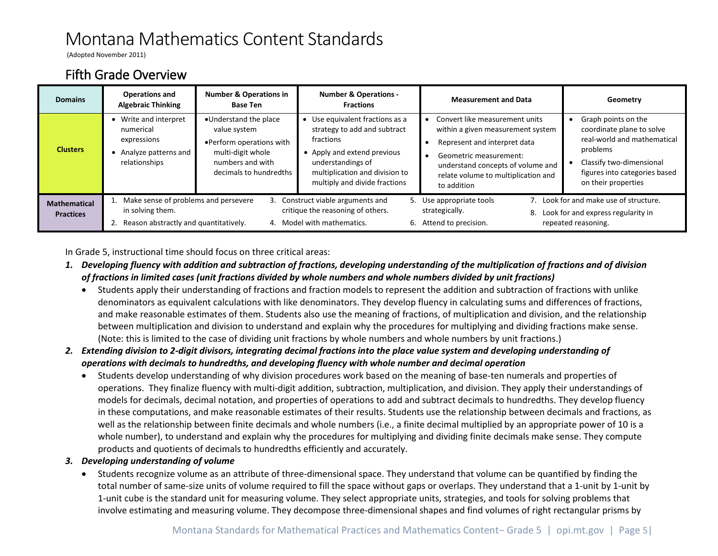(Adopted November 2011)

## <span id="page-4-0"></span>Fifth Grade Overview

| <b>Domains</b>                          | <b>Operations and</b><br><b>Algebraic Thinking</b>                                                      | <b>Number &amp; Operations in</b><br><b>Base Ten</b>                                                                                   | <b>Number &amp; Operations -</b><br><b>Fractions</b>                                                                                                                                              | <b>Measurement and Data</b>                                                                                                                                                                                              | Geometry                                                                                                                                                                        |
|-----------------------------------------|---------------------------------------------------------------------------------------------------------|----------------------------------------------------------------------------------------------------------------------------------------|---------------------------------------------------------------------------------------------------------------------------------------------------------------------------------------------------|--------------------------------------------------------------------------------------------------------------------------------------------------------------------------------------------------------------------------|---------------------------------------------------------------------------------------------------------------------------------------------------------------------------------|
| <b>Clusters</b>                         | Write and interpret<br>numerical<br>expressions<br>Analyze patterns and<br>relationships                | . Understand the place<br>value system<br>• Perform operations with<br>multi-digit whole<br>numbers and with<br>decimals to hundredths | Use equivalent fractions as a<br>strategy to add and subtract<br>fractions<br>• Apply and extend previous<br>understandings of<br>multiplication and division to<br>multiply and divide fractions | Convert like measurement units<br>within a given measurement system<br>Represent and interpret data<br>Geometric measurement:<br>understand concepts of volume and<br>relate volume to multiplication and<br>to addition | Graph points on the<br>coordinate plane to solve<br>real-world and mathematical<br>problems<br>Classify two-dimensional<br>figures into categories based<br>on their properties |
| <b>Mathematical</b><br><b>Practices</b> | 1. Make sense of problems and persevere<br>in solving them.<br>2. Reason abstractly and quantitatively. | 3.<br>4.                                                                                                                               | Construct viable arguments and<br>5.<br>critique the reasoning of others.<br>Model with mathematics.<br>6.                                                                                        | Use appropriate tools<br>strategically.<br>8.<br>Attend to precision.                                                                                                                                                    | 7. Look for and make use of structure.<br>Look for and express regularity in<br>repeated reasoning.                                                                             |

In Grade 5, instructional time should focus on three critical areas:

- *1. Developing fluency with addition and subtraction of fractions, developing understanding of the multiplication of fractions and of division of fractions in limited cases (unit fractions divided by whole numbers and whole numbers divided by unit fractions)*
	- Students apply their understanding of fractions and fraction models to represent the addition and subtraction of fractions with unlike denominators as equivalent calculations with like denominators. They develop fluency in calculating sums and differences of fractions, and make reasonable estimates of them. Students also use the meaning of fractions, of multiplication and division, and the relationship between multiplication and division to understand and explain why the procedures for multiplying and dividing fractions make sense. (Note: this is limited to the case of dividing unit fractions by whole numbers and whole numbers by unit fractions.)
- *2. Extending division to 2-digit divisors, integrating decimal fractions into the place value system and developing understanding of operations with decimals to hundredths, and developing fluency with whole number and decimal operation*
	- Students develop understanding of why division procedures work based on the meaning of base-ten numerals and properties of operations. They finalize fluency with multi-digit addition, subtraction, multiplication, and division. They apply their understandings of models for decimals, decimal notation, and properties of operations to add and subtract decimals to hundredths. They develop fluency in these computations, and make reasonable estimates of their results. Students use the relationship between decimals and fractions, as well as the relationship between finite decimals and whole numbers (i.e., a finite decimal multiplied by an appropriate power of 10 is a whole number), to understand and explain why the procedures for multiplying and dividing finite decimals make sense. They compute products and quotients of decimals to hundredths efficiently and accurately.
- *3. Developing understanding of volume*
	- Students recognize volume as an attribute of three-dimensional space. They understand that volume can be quantified by finding the total number of same-size units of volume required to fill the space without gaps or overlaps. They understand that a 1-unit by 1-unit by 1-unit cube is the standard unit for measuring volume. They select appropriate units, strategies, and tools for solving problems that involve estimating and measuring volume. They decompose three-dimensional shapes and find volumes of right rectangular prisms by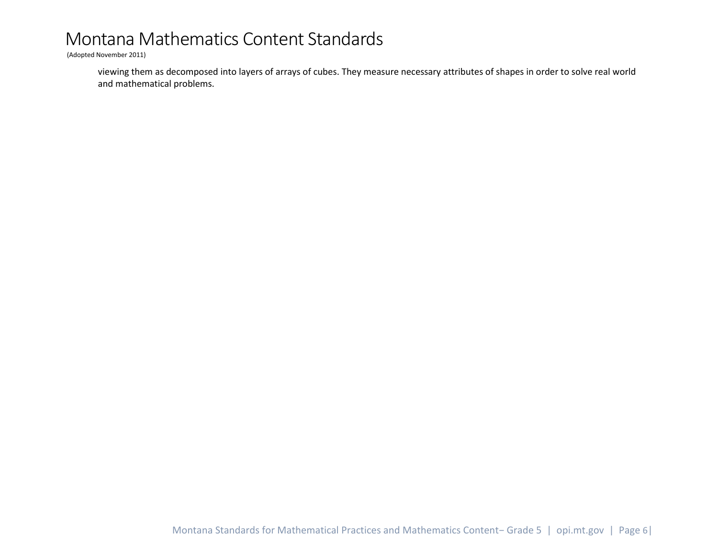(Adopted November 2011)

viewing them as decomposed into layers of arrays of cubes. They measure necessary attributes of shapes in order to solve real world and mathematical problems.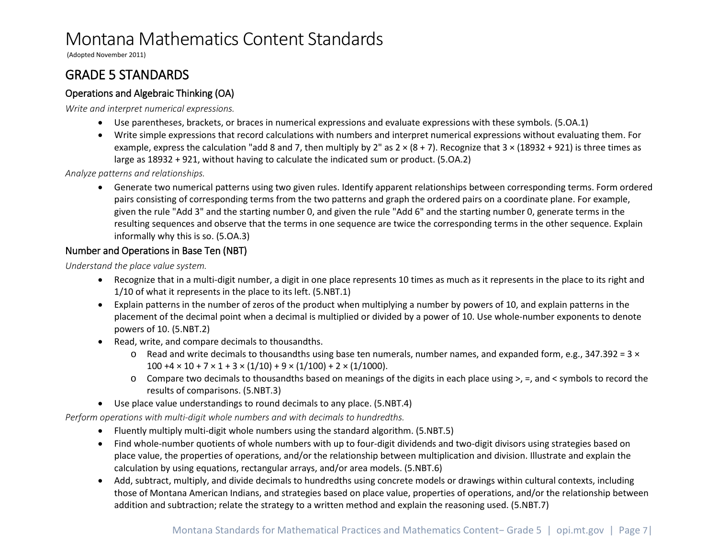(Adopted November 2011)

## <span id="page-6-0"></span>GRADE 5 STANDARDS

### <span id="page-6-1"></span>Operations and Algebraic Thinking (OA)

*Write and interpret numerical expressions.*

- Use parentheses, brackets, or braces in numerical expressions and evaluate expressions with these symbols. (5.OA.1)
- Write simple expressions that record calculations with numbers and interpret numerical expressions without evaluating them. For example, express the calculation "add 8 and 7, then multiply by 2" as  $2 \times (8 + 7)$ . Recognize that  $3 \times (18932 + 921)$  is three times as large as 18932 + 921, without having to calculate the indicated sum or product. (5.OA.2)

*Analyze patterns and relationships.*

• Generate two numerical patterns using two given rules. Identify apparent relationships between corresponding terms. Form ordered pairs consisting of corresponding terms from the two patterns and graph the ordered pairs on a coordinate plane. For example, given the rule "Add 3" and the starting number 0, and given the rule "Add 6" and the starting number 0, generate terms in the resulting sequences and observe that the terms in one sequence are twice the corresponding terms in the other sequence. Explain informally why this is so. (5.OA.3)

#### <span id="page-6-2"></span>Number and Operations in Base Ten (NBT)

*Understand the place value system.* 

- Recognize that in a multi-digit number, a digit in one place represents 10 times as much as it represents in the place to its right and 1/10 of what it represents in the place to its left. (5.NBT.1)
- Explain patterns in the number of zeros of the product when multiplying a number by powers of 10, and explain patterns in the placement of the decimal point when a decimal is multiplied or divided by a power of 10. Use whole-number exponents to denote powers of 10. (5.NBT.2)
- Read, write, and compare decimals to thousandths.
	- $\circ$  Read and write decimals to thousandths using base ten numerals, number names, and expanded form, e.g., 347.392 = 3  $\times$  $100 + 4 \times 10 + 7 \times 1 + 3 \times (1/10) + 9 \times (1/100) + 2 \times (1/1000)$ .
	- $\circ$  Compare two decimals to thousandths based on meanings of the digits in each place using  $>$ , =, and < symbols to record the results of comparisons. (5.NBT.3)
- Use place value understandings to round decimals to any place. (5.NBT.4)

*Perform operations with multi-digit whole numbers and with decimals to hundredths.*

- Fluently multiply multi-digit whole numbers using the standard algorithm. (5.NBT.5)
- Find whole-number quotients of whole numbers with up to four-digit dividends and two-digit divisors using strategies based on place value, the properties of operations, and/or the relationship between multiplication and division. Illustrate and explain the calculation by using equations, rectangular arrays, and/or area models. (5.NBT.6)
- Add, subtract, multiply, and divide decimals to hundredths using concrete models or drawings within cultural contexts, including those of Montana American Indians, and strategies based on place value, properties of operations, and/or the relationship between addition and subtraction; relate the strategy to a written method and explain the reasoning used. (5.NBT.7)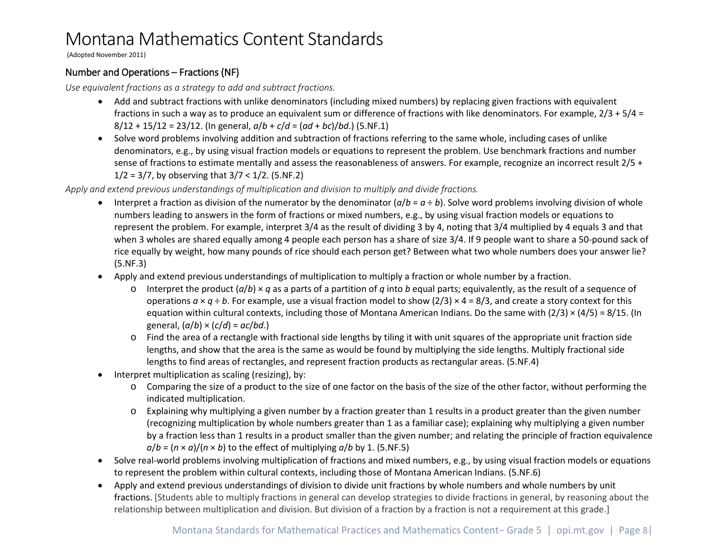(Adopted November 2011)

#### <span id="page-7-0"></span>Number and Operations – Fractions (NF)

*Use equivalent fractions as a strategy to add and subtract fractions.*

- Add and subtract fractions with unlike denominators (including mixed numbers) by replacing given fractions with equivalent fractions in such a way as to produce an equivalent sum or difference of fractions with like denominators. For example, 2/3 + 5/4 = 8/12 + 15/12 = 23/12. (In general, *a*/*b* + *c*/*d* = (*ad* + *bc*)/*bd*.) (5.NF.1)
- Solve word problems involving addition and subtraction of fractions referring to the same whole, including cases of unlike denominators, e.g., by using visual fraction models or equations to represent the problem. Use benchmark fractions and number sense of fractions to estimate mentally and assess the reasonableness of answers. For example, recognize an incorrect result 2/5 +  $1/2 = 3/7$ , by observing that  $3/7 < 1/2$ . (5.NF.2)

#### *Apply and extend previous understandings of multiplication and division to multiply and divide fractions.*

- Interpret a fraction as division of the numerator by the denominator  $(a/b = a \div b)$ . Solve word problems involving division of whole numbers leading to answers in the form of fractions or mixed numbers, e.g., by using visual fraction models or equations to represent the problem. For example, interpret 3/4 as the result of dividing 3 by 4, noting that 3/4 multiplied by 4 equals 3 and that when 3 wholes are shared equally among 4 people each person has a share of size 3/4. If 9 people want to share a 50-pound sack of rice equally by weight, how many pounds of rice should each person get? Between what two whole numbers does your answer lie? (5.NF.3)
- Apply and extend previous understandings of multiplication to multiply a fraction or whole number by a fraction.
	- o Interpret the product  $(a/b) \times q$  as a parts of a partition of *q* into *b* equal parts; equivalently, as the result of a sequence of operations  $a \times q \div b$ . For example, use a visual fraction model to show (2/3)  $\times$  4 = 8/3, and create a story context for this equation within cultural contexts, including those of Montana American Indians. Do the same with  $(2/3) \times (4/5) = 8/15$ . (In general, (*a*/*b*) × (*c*/*d*) = *ac*/*bd*.)
	- $\circ$  Find the area of a rectangle with fractional side lengths by tiling it with unit squares of the appropriate unit fraction side lengths, and show that the area is the same as would be found by multiplying the side lengths. Multiply fractional side lengths to find areas of rectangles, and represent fraction products as rectangular areas. (5.NF.4)
- Interpret multiplication as scaling (resizing), by:
	- o Comparing the size of a product to the size of one factor on the basis of the size of the other factor, without performing the indicated multiplication.
	- o Explaining why multiplying a given number by a fraction greater than 1 results in a product greater than the given number (recognizing multiplication by whole numbers greater than 1 as a familiar case); explaining why multiplying a given number by a fraction less than 1 results in a product smaller than the given number; and relating the principle of fraction equivalence  $a/b = (n \times a)/(n \times b)$  to the effect of multiplying  $a/b$  by 1. (5.NF.5)
- Solve real-world problems involving multiplication of fractions and mixed numbers, e.g., by using visual fraction models or equations to represent the problem within cultural contexts, including those of Montana American Indians. (5.NF.6)
- Apply and extend previous understandings of division to divide unit fractions by whole numbers and whole numbers by unit fractions. [Students able to multiply fractions in general can develop strategies to divide fractions in general, by reasoning about the relationship between multiplication and division. But division of a fraction by a fraction is not a requirement at this grade.]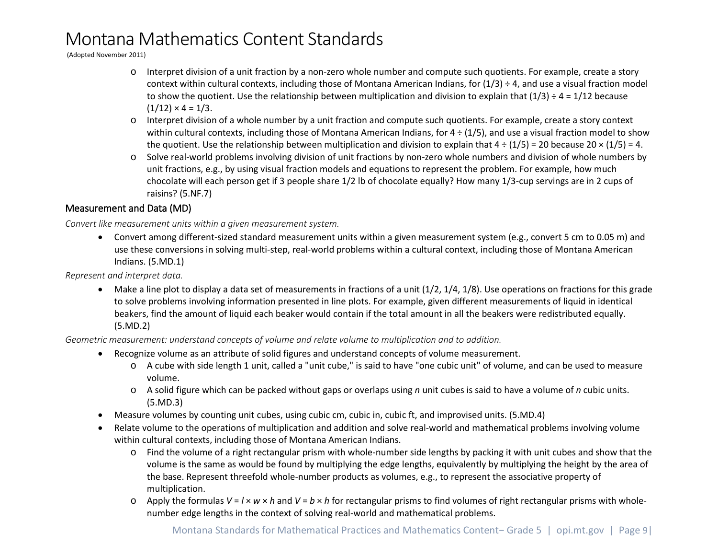(Adopted November 2011)

- o Interpret division of a unit fraction by a non-zero whole number and compute such quotients. For example, create a story context within cultural contexts, including those of Montana American Indians, for  $(1/3) \div 4$ , and use a visual fraction model to show the quotient. Use the relationship between multiplication and division to explain that  $(1/3) \div 4 = 1/12$  because  $(1/12) \times 4 = 1/3$ .
- o Interpret division of a whole number by a unit fraction and compute such quotients. For example, create a story context within cultural contexts, including those of Montana American Indians, for  $4 \div (1/5)$ , and use a visual fraction model to show the quotient. Use the relationship between multiplication and division to explain that  $4 \div (1/5) = 20$  because  $20 \times (1/5) = 4$ .
- o Solve real-world problems involving division of unit fractions by non-zero whole numbers and division of whole numbers by unit fractions, e.g., by using visual fraction models and equations to represent the problem. For example, how much chocolate will each person get if 3 people share 1/2 lb of chocolate equally? How many 1/3-cup servings are in 2 cups of raisins? (5.NF.7)

#### <span id="page-8-0"></span>Measurement and Data (MD)

*Convert like measurement units within a given measurement system.*

• Convert among different-sized standard measurement units within a given measurement system (e.g., convert 5 cm to 0.05 m) and use these conversions in solving multi-step, real-world problems within a cultural context, including those of Montana American Indians. (5.MD.1)

*Represent and interpret data.*

• Make a line plot to display a data set of measurements in fractions of a unit  $(1/2, 1/4, 1/8)$ . Use operations on fractions for this grade to solve problems involving information presented in line plots. For example, given different measurements of liquid in identical beakers, find the amount of liquid each beaker would contain if the total amount in all the beakers were redistributed equally. (5.MD.2)

*Geometric measurement: understand concepts of volume and relate volume to multiplication and to addition.* 

- Recognize volume as an attribute of solid figures and understand concepts of volume measurement.
	- o A cube with side length 1 unit, called a "unit cube," is said to have "one cubic unit" of volume, and can be used to measure volume.
	- o A solid figure which can be packed without gaps or overlaps using *n* unit cubes is said to have a volume of *n* cubic units. (5.MD.3)
- Measure volumes by counting unit cubes, using cubic cm, cubic in, cubic ft, and improvised units. (5.MD.4)
- Relate volume to the operations of multiplication and addition and solve real-world and mathematical problems involving volume within cultural contexts, including those of Montana American Indians.
	- o Find the volume of a right rectangular prism with whole-number side lengths by packing it with unit cubes and show that the volume is the same as would be found by multiplying the edge lengths, equivalently by multiplying the height by the area of the base. Represent threefold whole-number products as volumes, e.g., to represent the associative property of multiplication.
	- o Apply the formulas *V* = *l* × *w* × *h* and *V* = *b* × *h* for rectangular prisms to find volumes of right rectangular prisms with wholenumber edge lengths in the context of solving real-world and mathematical problems.